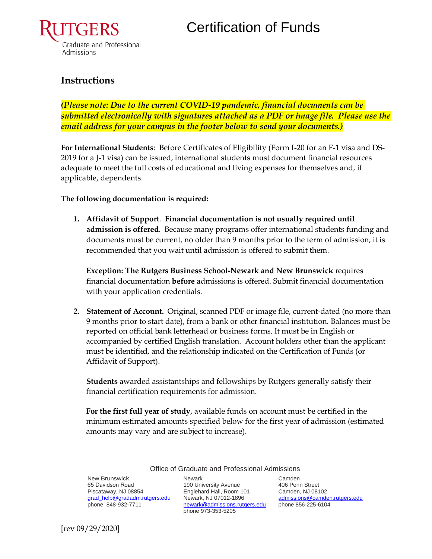

### **Instructions**

*(Please note: Due to the current COVID-19 pandemic, financial documents can be submitted electronically with signatures attached as a PDF or image file. Please use the email address for your campus in the footer below to send your documents.)* 

**For International Students**: Before Certificates of Eligibility (Form I-20 for an F-1 visa and DS-2019 for a J-1 visa) can be issued, international students must document financial resources adequate to meet the full costs of educational and living expenses for themselves and, if applicable, dependents.

### **The following documentation is required:**

**1. Affidavit of Support**. **Financial documentation is not usually required until admission is offered**. Because many programs offer international students funding and documents must be current, no older than 9 months prior to the term of admission, it is recommended that you wait until admission is offered to submit them.

**Exception: The Rutgers Business School-Newark and New Brunswick** requires financial documentation **before** admissions is offered. Submit financial documentation with your application credentials.

**2. Statement of Account.** Original, scanned PDF or image file, current-dated (no more than 9 months prior to start date), from a bank or other financial institution. Balances must be reported on official bank letterhead or business forms. It must be in English or accompanied by certified English translation. Account holders other than the applicant must be identified, and the relationship indicated on the Certification of Funds (or Affidavit of Support).

**Students** awarded assistantships and fellowships by Rutgers generally satisfy their financial certification requirements for admission.

**For the first full year of study**, available funds on account must be certified in the minimum estimated amounts specified below for the first year of admission (estimated amounts may vary and are subject to increase).

New Brunswick 65 Davidson Road Piscataway, NJ 08854 [grad\\_help@gradadm.rutgers.edu](mailto:grad_help@gradadm.rutgers.edu) phone 848-932-7711

Newark 190 University Avenue Englehard Hall, Room 101 Newark, NJ 07012-1896 [newark@admissions.rutgers.edu](mailto:newark@admissions.rutgers.edu) phone 856-225-6104 phone 973-353-5205

Office of Graduate and Professional Admissions

Camden 406 Penn Street Camden, NJ 08102 [admissions@camden.rutgers.edu](mailto:admissions@camden.rutgers.edu)

[rev 09/29/2020]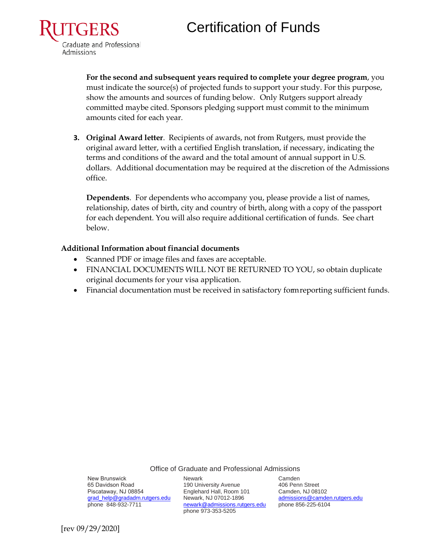# Certification of Funds



**For the second and subsequent years required to complete your degree program**, you must indicate the source(s) of projected funds to support your study. For this purpose, show the amounts and sources of funding below. Only Rutgers support already committed maybe cited. Sponsors pledging support must commit to the minimum amounts cited for each year.

**3. Original Award letter**. Recipients of awards, not from Rutgers, must provide the original award letter, with a certified English translation, if necessary, indicating the terms and conditions of the award and the total amount of annual support in U.S. dollars. Additional documentation may be required at the discretion of the Admissions office.

**Dependents**. For dependents who accompany you, please provide a list of names, relationship, dates of birth, city and country of birth, along with a copy of the passport for each dependent. You will also require additional certification of funds. See chart below.

#### **Additional Information about financial documents**

- Scanned PDF or image files and faxes are acceptable.
- FINANCIAL DOCUMENTS WILL NOT BE RETURNED TO YOU, so obtain duplicate original documents for your visa application.
- Financial documentation must be received in satisfactory form reporting sufficient funds.

Office of Graduate and Professional Admissions

New Brunswick 65 Davidson Road Piscataway, NJ 08854 [grad\\_help@gradadm.rutgers.edu](mailto:grad_help@gradadm.rutgers.edu) phone 848-932-7711

Newark 190 University Avenue Englehard Hall, Room 101 Newark, NJ 07012-1896 [newark@admissions.rutgers.edu](mailto:newark@admissions.rutgers.edu) phone 973-353-5205

Camden 406 Penn Street Camden, NJ 08102 [admissions@camden.rutgers.edu](mailto:admissions@camden.rutgers.edu) phone 856-225-6104

[rev 09/29/2020]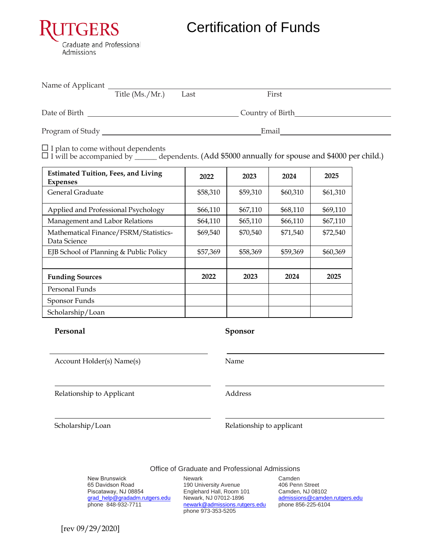

Certification of Funds

| Name of Applicant |                   |      |                  |  |
|-------------------|-------------------|------|------------------|--|
|                   | Title $(Ms./Mr.)$ | Last | First            |  |
| Date of Birth     |                   |      | Country of Birth |  |
| Program of Study  |                   |      | Email            |  |

 $\Box$  I plan to come without dependents

 $\Box$  I will be accompanied by \_\_\_\_\_\_\_ dependents. (Add \$5000 annually for spouse and \$4000 per child.)

| <b>Estimated Tuition, Fees, and Living</b><br><b>Expenses</b> | 2022     | 2023     | 2024     | 2025     |
|---------------------------------------------------------------|----------|----------|----------|----------|
| General Graduate                                              | \$58,310 | \$59,310 | \$60,310 | \$61,310 |
| Applied and Professional Psychology                           | \$66,110 | \$67,110 | \$68,110 | \$69,110 |
| Management and Labor Relations                                | \$64,110 | \$65,110 | \$66,110 | \$67,110 |
| Mathematical Finance/FSRM/Statistics-<br>Data Science         | \$69,540 | \$70,540 | \$71,540 | \$72,540 |
| EJB School of Planning & Public Policy                        | \$57,369 | \$58,369 | \$59,369 | \$60,369 |
| <b>Funding Sources</b>                                        | 2022     | 2023     | 2024     | 2025     |
| Personal Funds                                                |          |          |          |          |
| Sponsor Funds                                                 |          |          |          |          |
| Scholarship/Loan                                              |          |          |          |          |

#### **Personal Sponsor**

Account Holder(s) Name(s) Name

Relationship to Applicant **Address** Address

Scholarship/Loan Relationship to applicant

Office of Graduate and Professional Admissions

New Brunswick 65 Davidson Road Piscataway, NJ 08854 [grad\\_help@gradadm.rutgers.edu](mailto:grad_help@gradadm.rutgers.edu) phone 848-932-7711

Newark 190 University Avenue Englehard Hall, Room 101 Newark, NJ 07012-1896 [newark@admissions.rutgers.edu](mailto:newark@admissions.rutgers.edu) phone 973-353-5205

Camden 406 Penn Street Camden, NJ 08102 [admissions@camden.rutgers.edu](mailto:admissions@camden.rutgers.edu) phone 856-225-6104

[rev 09/29/2020]